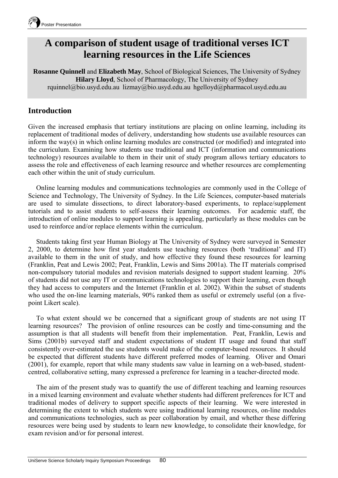

# **A comparison of student usage of traditional verses ICT learning resources in the Life Sciences**

**Rosanne Quinnell** and **Elizabeth May**, School of Biological Sciences, The University of Sydney **Hilary Lloyd**, School of Pharmacology, The University of Sydney rquinnel@bio.usyd.edu.au lizmay@bio.usyd.edu.au hgelloyd@pharmacol.usyd.edu.au

## **Introduction**

Given the increased emphasis that tertiary institutions are placing on online learning, including its replacement of traditional modes of delivery, understanding how students use available resources can inform the way(s) in which online learning modules are constructed (or modified) and integrated into the curriculum. Examining how students use traditional and ICT (information and communications technology) resources available to them in their unit of study program allows tertiary educators to assess the role and effectiveness of each learning resource and whether resources are complementing each other within the unit of study curriculum.

Online learning modules and communications technologies are commonly used in the College of Science and Technology, The University of Sydney. In the Life Sciences, computer-based materials are used to simulate dissections, to direct laboratory-based experiments, to replace/supplement tutorials and to assist students to self-assess their learning outcomes. For academic staff, the introduction of online modules to support learning is appealing, particularly as these modules can be used to reinforce and/or replace elements within the curriculum.

Students taking first year Human Biology at The University of Sydney were surveyed in Semester 2, 2000, to determine how first year students use teaching resources (both 'traditional' and IT) available to them in the unit of study, and how effective they found these resources for learning (Franklin, Peat and Lewis 2002; Peat, Franklin, Lewis and Sims 2001a). The IT materials comprised non-compulsory tutorial modules and revision materials designed to support student learning. 20% of students did not use any IT or communications technologies to support their learning, even though they had access to computers and the Internet (Franklin et al. 2002). Within the subset of students who used the on-line learning materials, 90% ranked them as useful or extremely useful (on a fivepoint Likert scale).

To what extent should we be concerned that a significant group of students are not using IT learning resources? The provision of online resources can be costly and time-consuming and the assumption is that all students will benefit from their implementation. Peat, Franklin, Lewis and Sims (2001b) surveyed staff and student expectations of student IT usage and found that staff consistently over-estimated the use students would make of the computer-based resources. It should be expected that different students have different preferred modes of learning. Oliver and Omari (2001), for example, report that while many students saw value in learning on a web-based, studentcentred, collaborative setting, many expressed a preference for learning in a teacher-directed mode.

The aim of the present study was to quantify the use of different teaching and learning resources in a mixed learning environment and evaluate whether students had different preferences for ICT and traditional modes of delivery to support specific aspects of their learning. We were interested in determining the extent to which students were using traditional learning resources, on-line modules and communications technologies, such as peer collaboration by email, and whether these differing resources were being used by students to learn new knowledge, to consolidate their knowledge, for exam revision and/or for personal interest.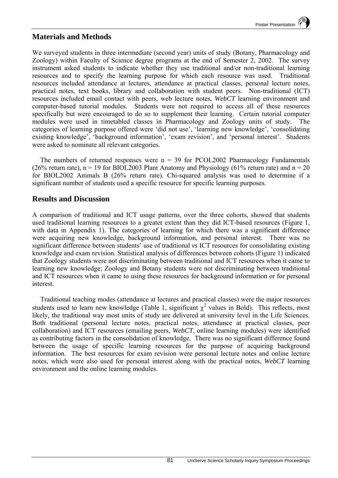## **Materials and Methods**

We surveyed students in three intermediate (second year) units of study (Botany, Pharmacology and Zoology) within Faculty of Science degree programs at the end of Semester 2, 2002. The survey instrument asked students to indicate whether they use traditional and/or non-traditional learning resources and to specify the learning purpose for which each resource was used. Traditional resources included attendance at lectures, attendance at practical classes, personal lecture notes, practical notes, text books, library and collaboration with student peers. Non-traditional (ICT) resources included email contact with peers, web lecture notes, *WebCT* learning environment and computer-based tutorial modules. Students were not required to access all of these resources specifically but were encouraged to do so to supplement their learning. Certain tutorial computer modules were used in timetabled classes in Pharmacology and Zoology units of study. The categories of learning purpose offered were 'did not use', 'learning new knowledge', 'consolidating existing knowledge', 'background information', 'exam revision', and 'personal interest'. Students were asked to nominate all relevant categories.

The numbers of returned responses were  $n = 39$  for PCOL2002 Pharmacology Fundamentals (26% return rate),  $n = 19$  for BIOL2003 Plant Anatomy and Physiology (61% return rate) and  $n = 20$ for BIOL2002 Animals B (26% return rate). Chi-squared analysis was used to determine if a significant number of students used a specific resource for specific learning purposes.

### **Results and Discussion**

A comparison of traditional and ICT usage patterns, over the three cohorts, showed that students used traditional learning resources to a greater extent than they did ICT-based resources (Figure 1, with data in Appendix 1). The categories of learning for which there was a significant difference were acquiring new knowledge, background information, and personal interest. There was no significant difference between students' use of traditional *vs* ICT resources for consolidating existing knowledge and exam revision. Statistical analysis of differences between cohorts (Figure 1) indicated that Zoology students were not discriminating between traditional and ICT resources when it came to learning new knowledge; Zoology and Botany students were not discriminating between traditional and ICT resources when it came to using these resources for background information or for personal interest.

Traditional teaching modes (attendance at lectures and practical classes) were the major resources students used to learn new knowledge (Table 1, significant  $\chi^2$  values in Bold). This reflects, most likely, the traditional way most units of study are delivered at university level in the Life Sciences. Both traditional (personal lecture notes, practical notes, attendance at practical classes, peer collaboration) and ICT resources (emailing peers, *WebCT*, online learning modules) were identified as contributing factors in the consolidation of knowledge. There was no significant difference found between the usage of specific learning resources for the purpose of acquiring background information. The best resources for exam revision were personal lecture notes and online lecture notes, which were also used for personal interest along with the practical notes, *WebCT* learning environment and the online learning modules.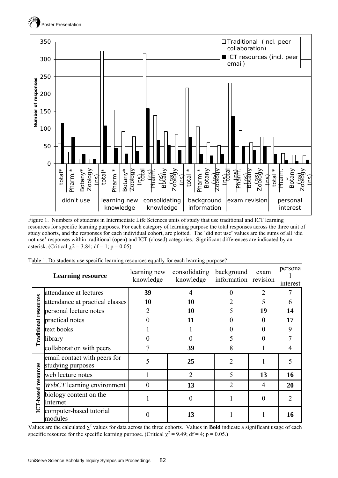



Figure 1. Numbers of students in Intermediate Life Sciences units of study that use traditional and ICT learning resources for specific learning purposes. For each category of learning purpose the total responses across the three unit of study cohorts, and the responses for each individual cohort, are plotted. The 'did not use' values are the sums of all 'did not use' responses within traditional (open) and ICT (closed) categories. Significant differences are indicated by an asterisk. (Critical  $\gamma$ 2 = 3.84; df = 1; p = 0.05)

|  |  |  | Table 1. Do students use specific learning resources equally for each learning purpose? |  |
|--|--|--|-----------------------------------------------------------------------------------------|--|
|  |  |  |                                                                                         |  |
|  |  |  |                                                                                         |  |

|                              | <b>Learning resource</b>                          | learning new<br>knowledge | consolidating<br>knowledge | background<br>information revision | exam           | persona<br>interest |  |
|------------------------------|---------------------------------------------------|---------------------------|----------------------------|------------------------------------|----------------|---------------------|--|
|                              | attendance at lectures                            | 39                        | 4                          | 0                                  | $\overline{2}$ |                     |  |
|                              | attendance at practical classes                   | 10                        | 10                         |                                    | 5              |                     |  |
|                              | personal lecture notes                            | 2                         | 10                         |                                    | 19             | 14                  |  |
|                              | practical notes                                   |                           | 11                         |                                    | $\theta$       | 17                  |  |
| <b>Traditional resources</b> | text books                                        |                           |                            |                                    | 0              | 9                   |  |
|                              | library                                           |                           |                            |                                    |                |                     |  |
|                              | collaboration with peers                          |                           | 39                         | 8                                  |                |                     |  |
|                              | email contact with peers for<br>studying purposes | 5                         | 25                         | $\mathfrak{D}$                     |                |                     |  |
|                              | web lecture notes                                 |                           | $\overline{2}$             | 5                                  | 13             | 16                  |  |
| ICT-based resources          | WebCT learning environment                        | $\overline{0}$            | 13                         | 2                                  | 4              | 20                  |  |
|                              | biology content on the<br>Internet                |                           | 0                          |                                    | $\theta$       | $\overline{2}$      |  |
|                              | computer-based tutorial<br>modules                | 0                         | 13                         |                                    |                | 16                  |  |

Values are the calculated  $\chi^2$  values for data across the three cohorts. Values in **Bold** indicate a significant usage of each specific resource for the specific learning purpose. (Critical  $\chi^2 = 9.49$ ; df = 4; p = 0.05.)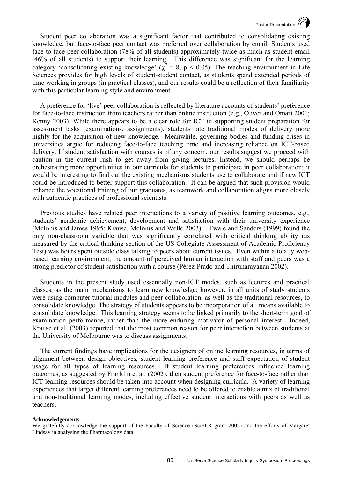Student peer collaboration was a significant factor that contributed to consolidating existing knowledge, but face-to-face peer contact was preferred over collaboration by email. Students used face-to-face peer collaboration (78% of all students) approximately twice as much as student email (46% of all students) to support their learning. This difference was significant for the learning category 'consolidating existing knowledge' ( $\chi^2$  = 8, p < 0.05). The teaching environment in Life Sciences provides for high levels of student-student contact, as students spend extended periods of time working in groups (in practical classes), and our results could be a reflection of their familiarity with this particular learning style and environment.

A preference for 'live' peer collaboration is reflected by literature accounts of students' preference for face-to-face instruction from teachers rather than online instruction (e.g., Oliver and Omari 2001; Kenny 2003). While there appears to be a clear role for ICT in supporting student preparation for assessment tasks (examinations, assignments), students rate traditional modes of delivery more highly for the acquisition of new knowledge. Meanwhile, governing bodies and funding crises in universities argue for reducing face-to-face teaching time and increasing reliance on ICT-based delivery. If student satisfaction with courses is of any concern, our results suggest we proceed with caution in the current rush to get away from giving lectures. Instead, we should perhaps be orchestrating more opportunities in our curricula for students to participate in peer collaboration; it would be interesting to find out the existing mechanisms students use to collaborate and if new ICT could be introduced to better support this collaboration. It can be argued that such provision would enhance the vocational training of our graduates, as teamwork and collaboration aligns more closely with authentic practices of professional scientists.

Previous studies have related peer interactions to a variety of positive learning outcomes, e.g., students' academic achievement, development and satisfaction with their university experience (McInnis and James 1995; Krause, McInnis and Welle 2003). Twale and Sanders (1999) found the only non-classroom variable that was significantly correlated with critical thinking ability (as measured by the critical thinking section of the US Collegiate Assessment of Academic Proficiency Test) was hours spent outside class talking to peers about current issues. Even within a totally webbased learning environment, the amount of perceived human interaction with staff and peers was a strong predictor of student satisfaction with a course (Pérez-Prado and Thirunarayanan 2002).

Students in the present study used essentially non-ICT modes, such as lectures and practical classes, as the main mechanisms to learn new knowledge; however, in all units of study students were using computer tutorial modules and peer collaboration, as well as the traditional resources, to consolidate knowledge. The strategy of students appears to be incorporation of all means available to consolidate knowledge. This learning strategy seems to be linked primarily to the short-term goal of examination performance*,* rather than the more enduring motivator of personal interest. Indeed, Krause et al. (2003) reported that the most common reason for peer interaction between students at the University of Melbourne was to discuss assignments.

The current findings have implications for the designers of online learning resources, in terms of alignment between design objectives, student learning preference and staff expectation of student usage for all types of learning resources. If student learning preferences influence learning outcomes, as suggested by Franklin et al. (2002), then student preference for face-to-face rather than ICT learning resources should be taken into account when designing curricula. A variety of learning experiences that target different learning preferences need to be offered to enable a mix of traditional and non-traditional learning modes, including effective student interactions with peers as well as teachers.

#### **Acknowledgements**

We gratefully acknowledge the support of the Faculty of Science (SciFER grant 2002) and the efforts of Margaret Lindsay in analysing the Pharmacology data.